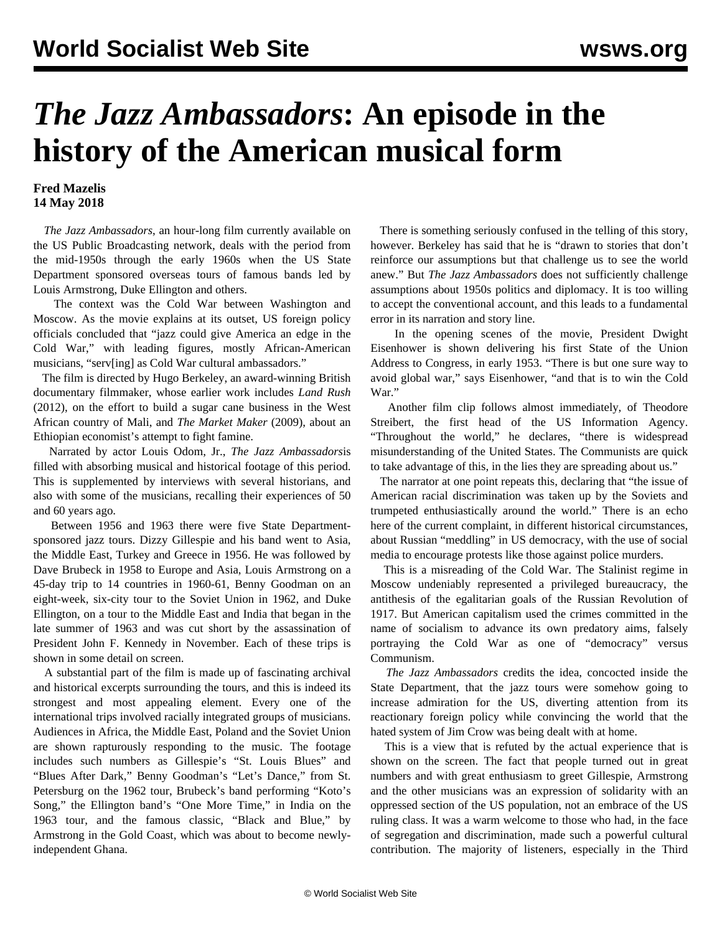## *The Jazz Ambassadors***: An episode in the history of the American musical form**

## **Fred Mazelis 14 May 2018**

 *The Jazz Ambassadors*, an hour-long film currently available on the US Public Broadcasting network, deals with the period from the mid-1950s through the early 1960s when the US State Department sponsored overseas tours of famous bands led by Louis Armstrong, Duke Ellington and others.

 The context was the Cold War between Washington and Moscow. As the movie explains at its outset, US foreign policy officials concluded that "jazz could give America an edge in the Cold War," with leading figures, mostly African-American musicians, "serv[ing] as Cold War cultural ambassadors."

 The film is directed by Hugo Berkeley, an award-winning British documentary filmmaker, whose earlier work includes *Land Rush* (2012), on the effort to build a sugar cane business in the West African country of Mali, and *The Market Maker* (2009), about an Ethiopian economist's attempt to fight famine.

 Narrated by actor Louis Odom, Jr., *The Jazz Ambassadors*is filled with absorbing musical and historical footage of this period. This is supplemented by interviews with several historians, and also with some of the musicians, recalling their experiences of 50 and 60 years ago.

 Between 1956 and 1963 there were five State Departmentsponsored jazz tours. Dizzy Gillespie and his band went to Asia, the Middle East, Turkey and Greece in 1956. He was followed by Dave Brubeck in 1958 to Europe and Asia, Louis Armstrong on a 45-day trip to 14 countries in 1960-61, Benny Goodman on an eight-week, six-city tour to the Soviet Union in 1962, and Duke Ellington, on a tour to the Middle East and India that began in the late summer of 1963 and was cut short by the assassination of President John F. Kennedy in November. Each of these trips is shown in some detail on screen.

 A substantial part of the film is made up of fascinating archival and historical excerpts surrounding the tours, and this is indeed its strongest and most appealing element. Every one of the international trips involved racially integrated groups of musicians. Audiences in Africa, the Middle East, Poland and the Soviet Union are shown rapturously responding to the music. The footage includes such numbers as Gillespie's "St. Louis Blues" and "Blues After Dark," Benny Goodman's "Let's Dance," from St. Petersburg on the 1962 tour, Brubeck's band performing "Koto's Song," the Ellington band's "One More Time," in India on the 1963 tour, and the famous classic, "Black and Blue," by Armstrong in the Gold Coast, which was about to become newlyindependent Ghana.

 There is something seriously confused in the telling of this story, however. Berkeley has said that he is "drawn to stories that don't reinforce our assumptions but that challenge us to see the world anew." But *The Jazz Ambassadors* does not sufficiently challenge assumptions about 1950s politics and diplomacy. It is too willing to accept the conventional account, and this leads to a fundamental error in its narration and story line.

 In the opening scenes of the movie, President Dwight Eisenhower is shown delivering his first State of the Union Address to Congress, in early 1953. "There is but one sure way to avoid global war," says Eisenhower, "and that is to win the Cold War"

 Another film clip follows almost immediately, of Theodore Streibert, the first head of the US Information Agency. "Throughout the world," he declares, "there is widespread misunderstanding of the United States. The Communists are quick to take advantage of this, in the lies they are spreading about us."

 The narrator at one point repeats this, declaring that "the issue of American racial discrimination was taken up by the Soviets and trumpeted enthusiastically around the world." There is an echo here of the current complaint, in different historical circumstances, about Russian "meddling" in US democracy, with the use of social media to encourage protests like those against police murders.

 This is a misreading of the Cold War. The Stalinist regime in Moscow undeniably represented a privileged bureaucracy, the antithesis of the egalitarian goals of the Russian Revolution of 1917. But American capitalism used the crimes committed in the name of socialism to advance its own predatory aims, falsely portraying the Cold War as one of "democracy" versus Communism.

 *The Jazz Ambassadors* credits the idea, concocted inside the State Department, that the jazz tours were somehow going to increase admiration for the US, diverting attention from its reactionary foreign policy while convincing the world that the hated system of Jim Crow was being dealt with at home.

 This is a view that is refuted by the actual experience that is shown on the screen. The fact that people turned out in great numbers and with great enthusiasm to greet Gillespie, Armstrong and the other musicians was an expression of solidarity with an oppressed section of the US population, not an embrace of the US ruling class. It was a warm welcome to those who had, in the face of segregation and discrimination, made such a powerful cultural contribution. The majority of listeners, especially in the Third